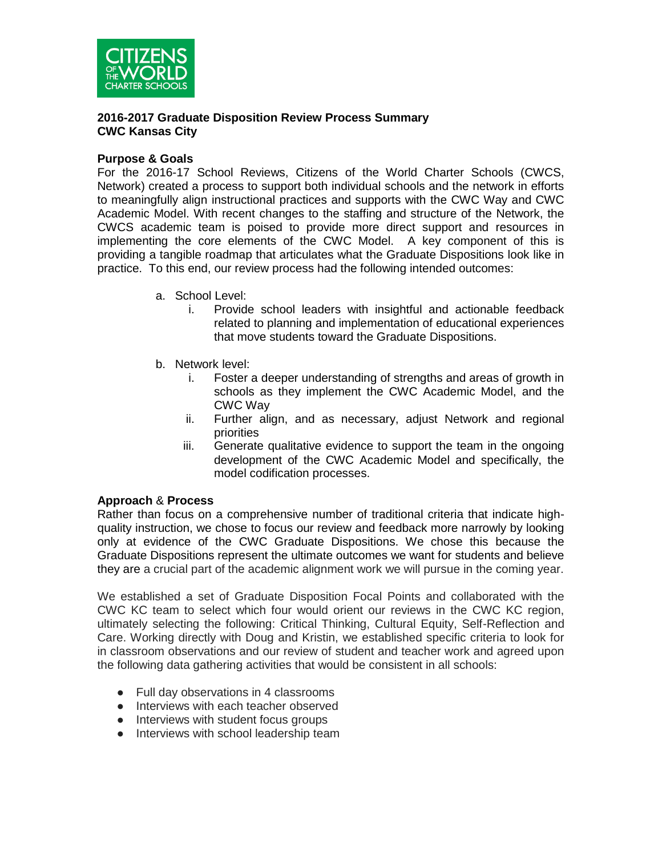

#### **2016-2017 Graduate Disposition Review Process Summary CWC Kansas City**

### **Purpose & Goals**

For the 2016-17 School Reviews, Citizens of the World Charter Schools (CWCS, Network) created a process to support both individual schools and the network in efforts to meaningfully align instructional practices and supports with the CWC Way and CWC Academic Model. With recent changes to the staffing and structure of the Network, the CWCS academic team is poised to provide more direct support and resources in implementing the core elements of the CWC Model. A key component of this is providing a tangible roadmap that articulates what the Graduate Dispositions look like in practice. To this end, our review process had the following intended outcomes:

- a. School Level:
	- i. Provide school leaders with insightful and actionable feedback related to planning and implementation of educational experiences that move students toward the Graduate Dispositions.
- b. Network level:
	- i. Foster a deeper understanding of strengths and areas of growth in schools as they implement the CWC Academic Model, and the CWC Way
	- ii. Further align, and as necessary, adjust Network and regional priorities
	- iii. Generate qualitative evidence to support the team in the ongoing development of the CWC Academic Model and specifically, the model codification processes.

## **Approach** & **Process**

Rather than focus on a comprehensive number of traditional criteria that indicate highquality instruction, we chose to focus our review and feedback more narrowly by looking only at evidence of the CWC Graduate Dispositions. We chose this because the Graduate Dispositions represent the ultimate outcomes we want for students and believe they are a crucial part of the academic alignment work we will pursue in the coming year.

We established a set of Graduate Disposition Focal Points and collaborated with the CWC KC team to select which four would orient our reviews in the CWC KC region, ultimately selecting the following: Critical Thinking, Cultural Equity, Self-Reflection and Care. Working directly with Doug and Kristin, we established specific criteria to look for in classroom observations and our review of student and teacher work and agreed upon the following data gathering activities that would be consistent in all schools:

- Full day observations in 4 classrooms
- Interviews with each teacher observed
- Interviews with student focus groups
- Interviews with school leadership team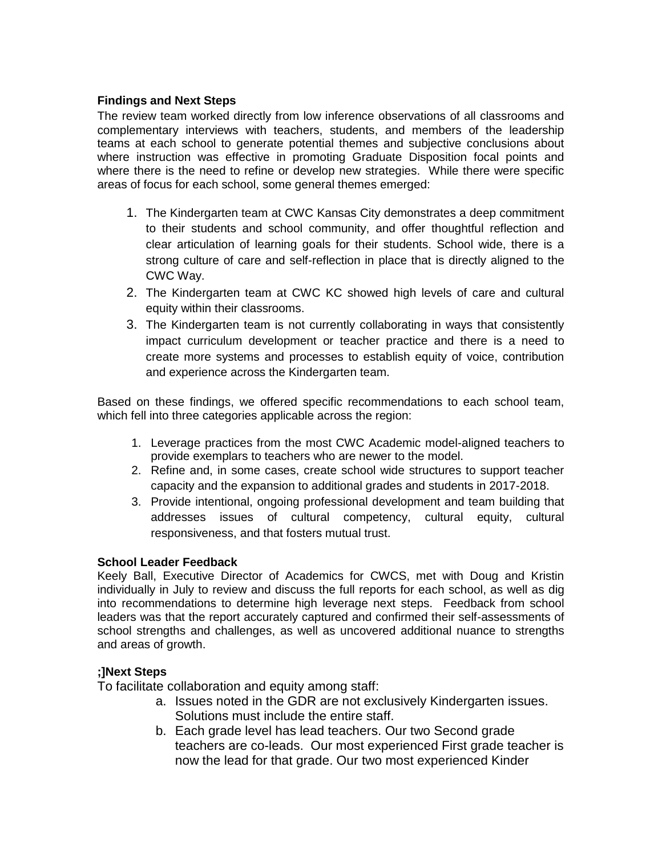# **Findings and Next Steps**

The review team worked directly from low inference observations of all classrooms and complementary interviews with teachers, students, and members of the leadership teams at each school to generate potential themes and subjective conclusions about where instruction was effective in promoting Graduate Disposition focal points and where there is the need to refine or develop new strategies. While there were specific areas of focus for each school, some general themes emerged:

- 1. The Kindergarten team at CWC Kansas City demonstrates a deep commitment to their students and school community, and offer thoughtful reflection and clear articulation of learning goals for their students. School wide, there is a strong culture of care and self-reflection in place that is directly aligned to the CWC Way.
- 2. The Kindergarten team at CWC KC showed high levels of care and cultural equity within their classrooms.
- 3. The Kindergarten team is not currently collaborating in ways that consistently impact curriculum development or teacher practice and there is a need to create more systems and processes to establish equity of voice, contribution and experience across the Kindergarten team.

Based on these findings, we offered specific recommendations to each school team, which fell into three categories applicable across the region:

- 1. Leverage practices from the most CWC Academic model-aligned teachers to provide exemplars to teachers who are newer to the model.
- 2. Refine and, in some cases, create school wide structures to support teacher capacity and the expansion to additional grades and students in 2017-2018.
- 3. Provide intentional, ongoing professional development and team building that addresses issues of cultural competency, cultural equity, cultural responsiveness, and that fosters mutual trust.

## **School Leader Feedback**

Keely Ball, Executive Director of Academics for CWCS, met with Doug and Kristin individually in July to review and discuss the full reports for each school, as well as dig into recommendations to determine high leverage next steps. Feedback from school leaders was that the report accurately captured and confirmed their self-assessments of school strengths and challenges, as well as uncovered additional nuance to strengths and areas of growth.

# **;]Next Steps**

To facilitate collaboration and equity among staff:

- a. Issues noted in the GDR are not exclusively Kindergarten issues. Solutions must include the entire staff.
- b. Each grade level has lead teachers. Our two Second grade teachers are co-leads. Our most experienced First grade teacher is now the lead for that grade. Our two most experienced Kinder